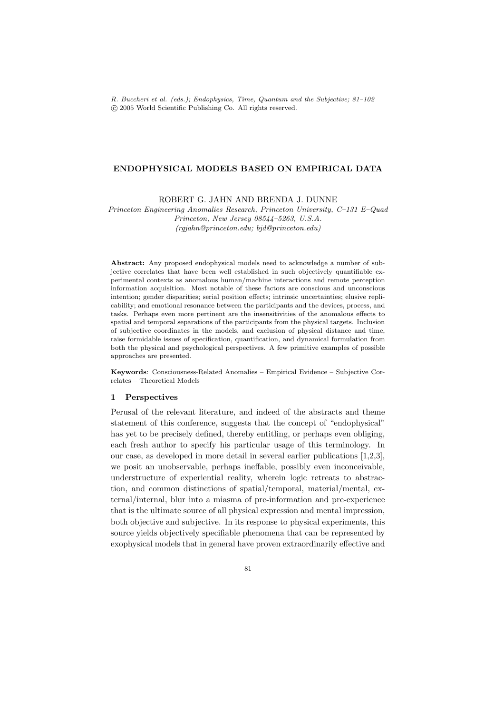R. Buccheri et al. (eds.); Endophysics, Time, Quantum and the Subjective; 81–102 °c 2005 World Scientific Publishing Co. All rights reserved.

### ENDOPHYSICAL MODELS BASED ON EMPIRICAL DATA

ROBERT G. JAHN AND BRENDA J. DUNNE

Princeton Engineering Anomalies Research, Princeton University, C–131 E–Quad Princeton, New Jersey 08544–5263, U.S.A. (rgjahn@princeton.edu; bjd@princeton.edu)

Abstract: Any proposed endophysical models need to acknowledge a number of subjective correlates that have been well established in such objectively quantifiable experimental contexts as anomalous human/machine interactions and remote perception information acquisition. Most notable of these factors are conscious and unconscious intention; gender disparities; serial position effects; intrinsic uncertainties; elusive replicability; and emotional resonance between the participants and the devices, process, and tasks. Perhaps even more pertinent are the insensitivities of the anomalous effects to spatial and temporal separations of the participants from the physical targets. Inclusion of subjective coordinates in the models, and exclusion of physical distance and time, raise formidable issues of specification, quantification, and dynamical formulation from both the physical and psychological perspectives. A few primitive examples of possible approaches are presented.

Keywords: Consciousness-Related Anomalies – Empirical Evidence – Subjective Correlates – Theoretical Models

### 1 Perspectives

Perusal of the relevant literature, and indeed of the abstracts and theme statement of this conference, suggests that the concept of "endophysical" has yet to be precisely defined, thereby entitling, or perhaps even obliging, each fresh author to specify his particular usage of this terminology. In our case, as developed in more detail in several earlier publications [1,2,3], we posit an unobservable, perhaps ineffable, possibly even inconceivable, understructure of experiential reality, wherein logic retreats to abstraction, and common distinctions of spatial/temporal, material/mental, external/internal, blur into a miasma of pre-information and pre-experience that is the ultimate source of all physical expression and mental impression, both objective and subjective. In its response to physical experiments, this source yields objectively specifiable phenomena that can be represented by exophysical models that in general have proven extraordinarily effective and

81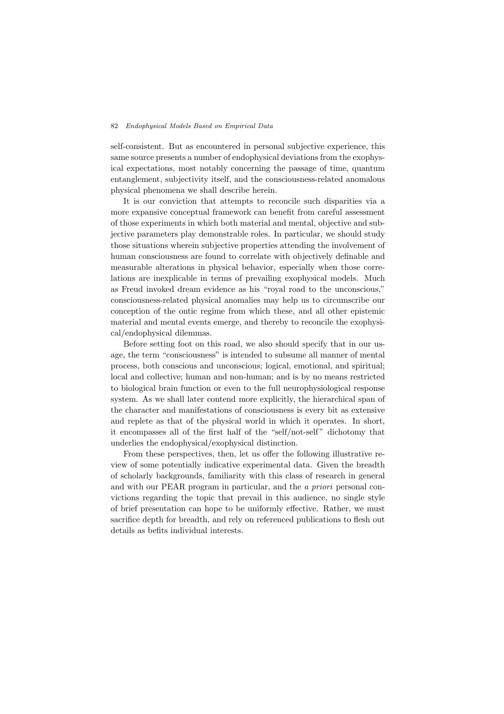self-consistent. But as encountered in personal subjective experience, this same source presents a number of endophysical deviations from the exophysical expectations, most notably concerning the passage of time, quantum entanglement, subjectivity itself, and the consciousness-related anomalous physical phenomena we shall describe herein.

It is our conviction that attempts to reconcile such disparities via a more expansive conceptual framework can benefit from careful assessment of those experiments in which both material and mental, objective and subjective parameters play demonstrable roles. In particular, we should study those situations wherein subjective properties attending the involvement of human consciousness are found to correlate with objectively definable and measurable alterations in physical behavior, especially when those correlations are inexplicable in terms of prevailing exophysical models. Much as Freud invoked dream evidence as his "royal road to the unconscious," consciousness-related physical anomalies may help us to circumscribe our conception of the ontic regime from which these, and all other epistemic material and mental events emerge, and thereby to reconcile the exophysical/endophysical dilemmas.

Before setting foot on this road, we also should specify that in our usage, the term "consciousness" is intended to subsume all manner of mental process, both conscious and unconscious; logical, emotional, and spiritual; local and collective; human and non-human; and is by no means restricted to biological brain function or even to the full neurophysiological response system. As we shall later contend more explicitly, the hierarchical span of the character and manifestations of consciousness is every bit as extensive and replete as that of the physical world in which it operates. In short, it encompasses all of the first half of the "self/not-self " dichotomy that underlies the endophysical/exophysical distinction.

From these perspectives, then, let us offer the following illustrative review of some potentially indicative experimental data. Given the breadth of scholarly backgrounds, familiarity with this class of research in general and with our PEAR program in particular, and the *a priori* personal convictions regarding the topic that prevail in this audience, no single style of brief presentation can hope to be uniformly effective. Rather, we must sacrifice depth for breadth, and rely on referenced publications to flesh out details as befits individual interests.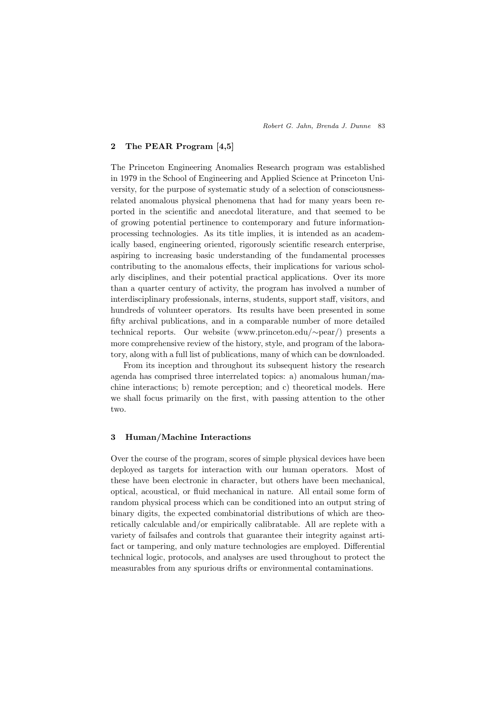# 2 The PEAR Program [4,5]

The Princeton Engineering Anomalies Research program was established in 1979 in the School of Engineering and Applied Science at Princeton University, for the purpose of systematic study of a selection of consciousnessrelated anomalous physical phenomena that had for many years been reported in the scientific and anecdotal literature, and that seemed to be of growing potential pertinence to contemporary and future informationprocessing technologies. As its title implies, it is intended as an academically based, engineering oriented, rigorously scientific research enterprise, aspiring to increasing basic understanding of the fundamental processes contributing to the anomalous effects, their implications for various scholarly disciplines, and their potential practical applications. Over its more than a quarter century of activity, the program has involved a number of interdisciplinary professionals, interns, students, support staff, visitors, and hundreds of volunteer operators. Its results have been presented in some fifty archival publications, and in a comparable number of more detailed technical reports. Our website (www.princeton.edu/∼pear/) presents a more comprehensive review of the history, style, and program of the laboratory, along with a full list of publications, many of which can be downloaded.

From its inception and throughout its subsequent history the research agenda has comprised three interrelated topics: a) anomalous human/machine interactions; b) remote perception; and c) theoretical models. Here we shall focus primarily on the first, with passing attention to the other two.

### 3 Human/Machine Interactions

Over the course of the program, scores of simple physical devices have been deployed as targets for interaction with our human operators. Most of these have been electronic in character, but others have been mechanical, optical, acoustical, or fluid mechanical in nature. All entail some form of random physical process which can be conditioned into an output string of binary digits, the expected combinatorial distributions of which are theoretically calculable and/or empirically calibratable. All are replete with a variety of failsafes and controls that guarantee their integrity against artifact or tampering, and only mature technologies are employed. Differential technical logic, protocols, and analyses are used throughout to protect the measurables from any spurious drifts or environmental contaminations.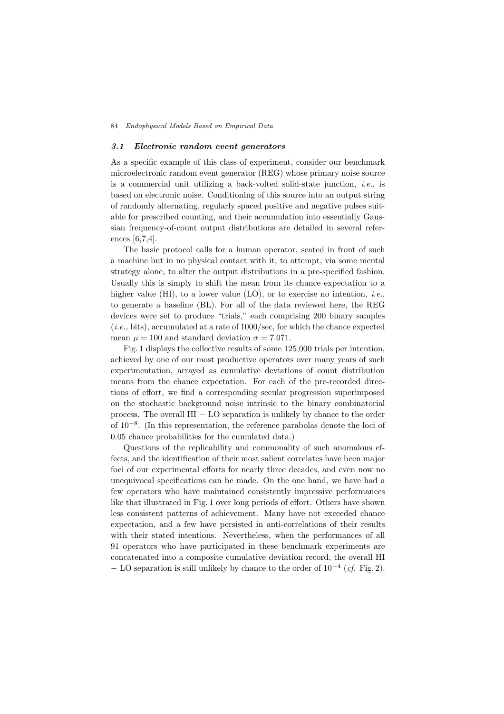### 3.1 Electronic random event generators

As a specific example of this class of experiment, consider our benchmark microelectronic random event generator (REG) whose primary noise source is a commercial unit utilizing a back-volted solid-state junction, *i.e.*, is based on electronic noise. Conditioning of this source into an output string of randomly alternating, regularly spaced positive and negative pulses suitable for prescribed counting, and their accumulation into essentially Gaussian frequency-of-count output distributions are detailed in several references [6,7,4].

The basic protocol calls for a human operator, seated in front of such a machine but in no physical contact with it, to attempt, via some mental strategy alone, to alter the output distributions in a pre-specified fashion. Usually this is simply to shift the mean from its chance expectation to a higher value (HI), to a lower value (LO), or to exercise no intention, *i.e.*, to generate a baseline (BL). For all of the data reviewed here, the REG devices were set to produce "trials," each comprising 200 binary samples  $(i.e., bits)$ , accumulated at a rate of  $1000/sec$ , for which the chance expected mean  $\mu = 100$  and standard deviation  $\sigma = 7.071$ .

Fig. 1 displays the collective results of some 125,000 trials per intention, achieved by one of our most productive operators over many years of such experimentation, arrayed as cumulative deviations of count distribution means from the chance expectation. For each of the pre-recorded directions of effort, we find a corresponding secular progression superimposed on the stochastic background noise intrinsic to the binary combinatorial process. The overall  $HI - LO$  separation is unlikely by chance to the order of 10<sup>−</sup><sup>8</sup> . (In this representation, the reference parabolas denote the loci of 0.05 chance probabilities for the cumulated data.)

Questions of the replicability and commonality of such anomalous effects, and the identification of their most salient correlates have been major foci of our experimental efforts for nearly three decades, and even now no unequivocal specifications can be made. On the one hand, we have had a few operators who have maintained consistently impressive performances like that illustrated in Fig. 1 over long periods of effort. Others have shown less consistent patterns of achievement. Many have not exceeded chance expectation, and a few have persisted in anti-correlations of their results with their stated intentions. Nevertheless, when the performances of all 91 operators who have participated in these benchmark experiments are concatenated into a composite cumulative deviation record, the overall HI  $-$  LO separation is still unlikely by chance to the order of  $10^{-4}$  (*cf.* Fig. 2).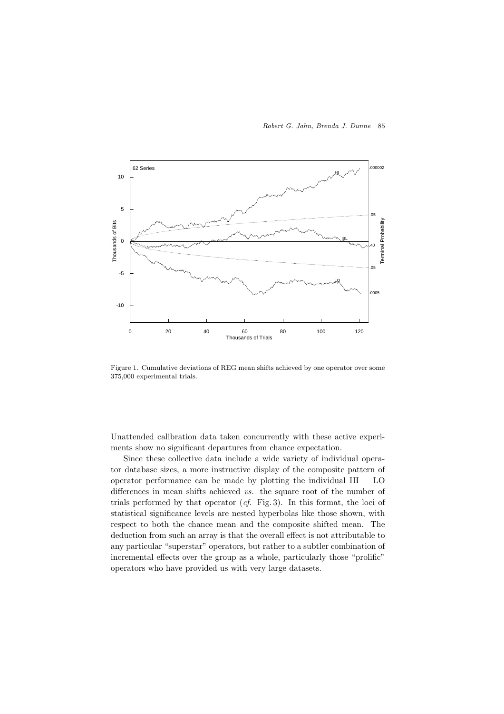Robert G. Jahn, Brenda J. Dunne 85



Figure 1. Cumulative deviations of REG mean shifts achieved by one operator over some 375,000 experimental trials.

Unattended calibration data taken concurrently with these active experiments show no significant departures from chance expectation.

Since these collective data include a wide variety of individual operator database sizes, a more instructive display of the composite pattern of operator performance can be made by plotting the individual HI − LO differences in mean shifts achieved vs. the square root of the number of trials performed by that operator  $(cf.$  Fig. 3). In this format, the loci of statistical significance levels are nested hyperbolas like those shown, with respect to both the chance mean and the composite shifted mean. The deduction from such an array is that the overall effect is not attributable to any particular "superstar" operators, but rather to a subtler combination of incremental effects over the group as a whole, particularly those "prolific" operators who have provided us with very large datasets.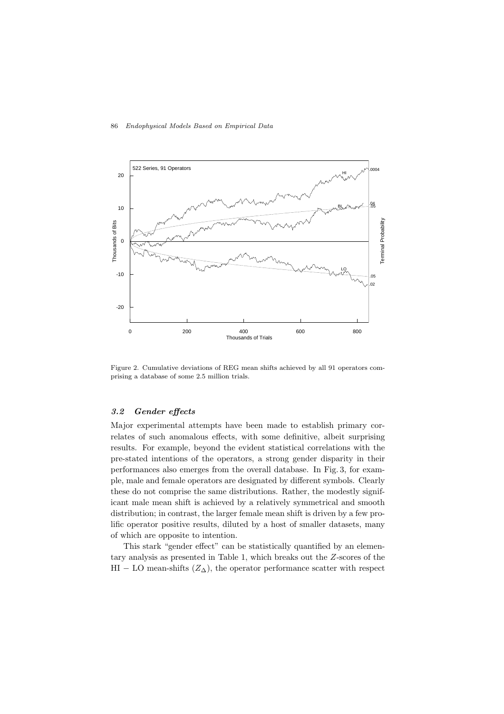

Figure 2. Cumulative deviations of REG mean shifts achieved by all 91 operators comprising a database of some 2.5 million trials.

# 3.2 Gender effects

Major experimental attempts have been made to establish primary correlates of such anomalous effects, with some definitive, albeit surprising results. For example, beyond the evident statistical correlations with the pre-stated intentions of the operators, a strong gender disparity in their performances also emerges from the overall database. In Fig. 3, for example, male and female operators are designated by different symbols. Clearly these do not comprise the same distributions. Rather, the modestly significant male mean shift is achieved by a relatively symmetrical and smooth distribution; in contrast, the larger female mean shift is driven by a few prolific operator positive results, diluted by a host of smaller datasets, many of which are opposite to intention.

This stark "gender effect" can be statistically quantified by an elementary analysis as presented in Table 1, which breaks out the Z-scores of the HI – LO mean-shifts  $(Z_{\Delta})$ , the operator performance scatter with respect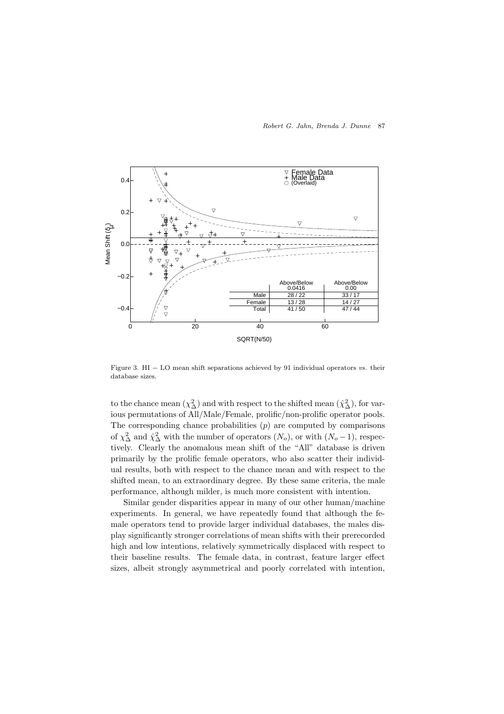Robert G. Jahn, Brenda J. Dunne 87



Figure 3. HI − LO mean shift separations achieved by 91 individual operators vs. their database sizes.

to the chance mean  $(\chi^2_{\Delta})$  and with respect to the shifted mean  $(\hat{\chi}^2_{\Delta})$ , for various permutations of All/Male/Female, prolific/non-prolific operator pools. The corresponding chance probabilities  $(p)$  are computed by comparisons of  $\chi^2_{\Delta}$  and  $\hat{\chi}^2_{\Delta}$  with the number of operators  $(N_o)$ , or with  $(N_o-1)$ , respectively. Clearly the anomalous mean shift of the "All" database is driven primarily by the prolific female operators, who also scatter their individual results, both with respect to the chance mean and with respect to the shifted mean, to an extraordinary degree. By these same criteria, the male performance, although milder, is much more consistent with intention.

Similar gender disparities appear in many of our other human/machine experiments. In general, we have repeatedly found that although the female operators tend to provide larger individual databases, the males display significantly stronger correlations of mean shifts with their prerecorded high and low intentions, relatively symmetrically displaced with respect to their baseline results. The female data, in contrast, feature larger effect sizes, albeit strongly asymmetrical and poorly correlated with intention,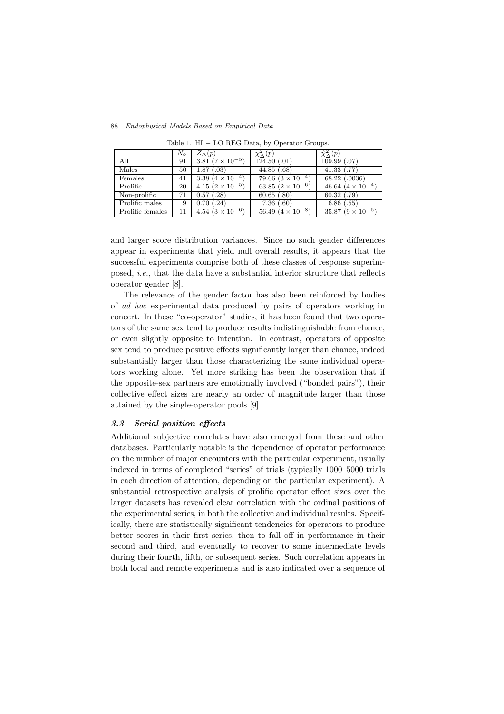|                  | $N_o$ | $Z_{\Delta}(p)$           | $\chi^2_{\Delta}(p)$       | $\hat{\chi}^2_{\Delta}(p)$ |
|------------------|-------|---------------------------|----------------------------|----------------------------|
| All              | 91    | $3.81~(7\times10^{-5})$   | 124.50(.01)                | 109.99(.07)                |
| Males            | 50    | 1.87(0.03)                | 44.85(.68)                 | 41.33(.77)                 |
| Females          | 41    | 3.38 $(4 \times 10^{-4})$ | 79.66 $(3 \times 10^{-4})$ | $68.22$ $(.0036)$          |
| Prolific         | 20    | 4.15 $(2 \times 10^{-5})$ | 63.85 $(2 \times 10^{-6})$ | 46.64 $(4 \times 10^{-4})$ |
| Non-prolific     | 71    | $0.57$ $(.28)$            | $60.65$ $(.80)$            | $60.32$ $(.79)$            |
| Prolific males   | 9     | $0.70$ $(.24)$            | 7.36(.60)                  | 6.86(.55)                  |
| Prolific females | 11    | $4.54~(3\times10^{-6})$   | 56.49 $(4 \times 10^{-8})$ | $35.87~(9\times10^{-5})$   |

Table 1. HI − LO REG Data, by Operator Groups.

and larger score distribution variances. Since no such gender differences appear in experiments that yield null overall results, it appears that the successful experiments comprise both of these classes of response superimposed, i.e., that the data have a substantial interior structure that reflects operator gender [8].

The relevance of the gender factor has also been reinforced by bodies of ad hoc experimental data produced by pairs of operators working in concert. In these "co-operator" studies, it has been found that two operators of the same sex tend to produce results indistinguishable from chance, or even slightly opposite to intention. In contrast, operators of opposite sex tend to produce positive effects significantly larger than chance, indeed substantially larger than those characterizing the same individual operators working alone. Yet more striking has been the observation that if the opposite-sex partners are emotionally involved ("bonded pairs"), their collective effect sizes are nearly an order of magnitude larger than those attained by the single-operator pools [9].

# 3.3 Serial position effects

Additional subjective correlates have also emerged from these and other databases. Particularly notable is the dependence of operator performance on the number of major encounters with the particular experiment, usually indexed in terms of completed "series" of trials (typically 1000–5000 trials in each direction of attention, depending on the particular experiment). A substantial retrospective analysis of prolific operator effect sizes over the larger datasets has revealed clear correlation with the ordinal positions of the experimental series, in both the collective and individual results. Specifically, there are statistically significant tendencies for operators to produce better scores in their first series, then to fall off in performance in their second and third, and eventually to recover to some intermediate levels during their fourth, fifth, or subsequent series. Such correlation appears in both local and remote experiments and is also indicated over a sequence of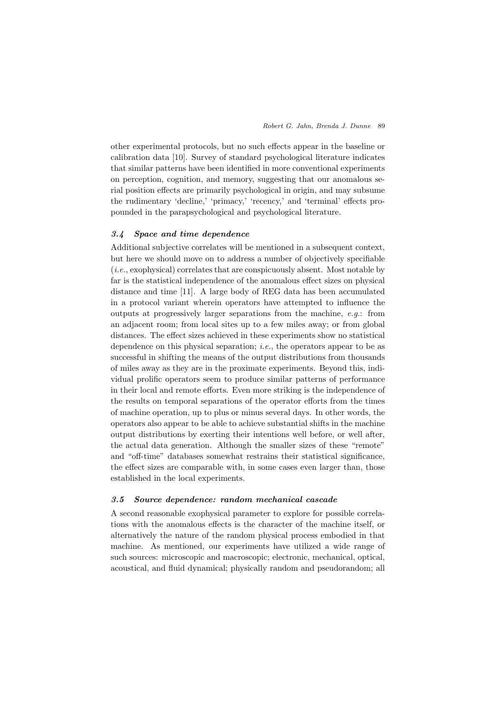other experimental protocols, but no such effects appear in the baseline or calibration data [10]. Survey of standard psychological literature indicates that similar patterns have been identified in more conventional experiments on perception, cognition, and memory, suggesting that our anomalous serial position effects are primarily psychological in origin, and may subsume the rudimentary 'decline,' 'primacy,' 'recency,' and 'terminal' effects propounded in the parapsychological and psychological literature.

### 3.4 Space and time dependence

Additional subjective correlates will be mentioned in a subsequent context, but here we should move on to address a number of objectively specifiable  $(i.e.,$  exophysical) correlates that are conspicuously absent. Most notable by far is the statistical independence of the anomalous effect sizes on physical distance and time [11]. A large body of REG data has been accumulated in a protocol variant wherein operators have attempted to influence the outputs at progressively larger separations from the machine,  $e.q.$ : from an adjacent room; from local sites up to a few miles away; or from global distances. The effect sizes achieved in these experiments show no statistical dependence on this physical separation; *i.e.*, the operators appear to be as successful in shifting the means of the output distributions from thousands of miles away as they are in the proximate experiments. Beyond this, individual prolific operators seem to produce similar patterns of performance in their local and remote efforts. Even more striking is the independence of the results on temporal separations of the operator efforts from the times of machine operation, up to plus or minus several days. In other words, the operators also appear to be able to achieve substantial shifts in the machine output distributions by exerting their intentions well before, or well after, the actual data generation. Although the smaller sizes of these "remote" and "off-time" databases somewhat restrains their statistical significance, the effect sizes are comparable with, in some cases even larger than, those established in the local experiments.

## 3.5 Source dependence: random mechanical cascade

A second reasonable exophysical parameter to explore for possible correlations with the anomalous effects is the character of the machine itself, or alternatively the nature of the random physical process embodied in that machine. As mentioned, our experiments have utilized a wide range of such sources: microscopic and macroscopic; electronic, mechanical, optical, acoustical, and fluid dynamical; physically random and pseudorandom; all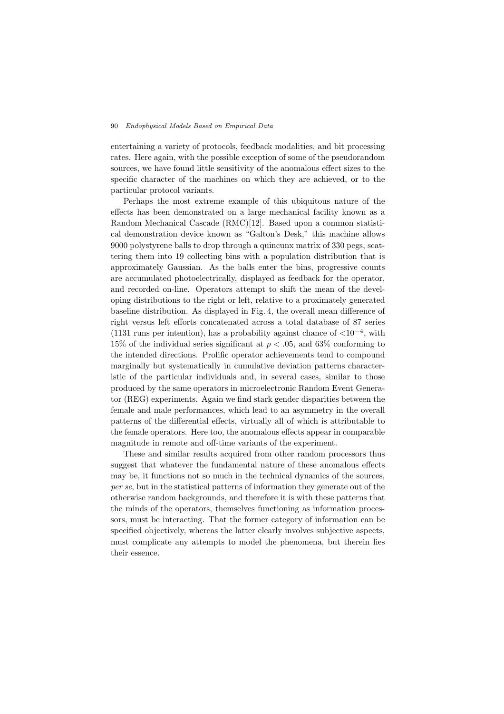entertaining a variety of protocols, feedback modalities, and bit processing rates. Here again, with the possible exception of some of the pseudorandom sources, we have found little sensitivity of the anomalous effect sizes to the specific character of the machines on which they are achieved, or to the particular protocol variants.

Perhaps the most extreme example of this ubiquitous nature of the effects has been demonstrated on a large mechanical facility known as a Random Mechanical Cascade (RMC)[12]. Based upon a common statistical demonstration device known as "Galton's Desk," this machine allows 9000 polystyrene balls to drop through a quincunx matrix of 330 pegs, scattering them into 19 collecting bins with a population distribution that is approximately Gaussian. As the balls enter the bins, progressive counts are accumulated photoelectrically, displayed as feedback for the operator, and recorded on-line. Operators attempt to shift the mean of the developing distributions to the right or left, relative to a proximately generated baseline distribution. As displayed in Fig. 4, the overall mean difference of right versus left efforts concatenated across a total database of 87 series (1131 runs per intention), has a probability against chance of  $\langle 10^{-4}$ , with 15% of the individual series significant at  $p < .05$ , and 63% conforming to the intended directions. Prolific operator achievements tend to compound marginally but systematically in cumulative deviation patterns characteristic of the particular individuals and, in several cases, similar to those produced by the same operators in microelectronic Random Event Generator (REG) experiments. Again we find stark gender disparities between the female and male performances, which lead to an asymmetry in the overall patterns of the differential effects, virtually all of which is attributable to the female operators. Here too, the anomalous effects appear in comparable magnitude in remote and off-time variants of the experiment.

These and similar results acquired from other random processors thus suggest that whatever the fundamental nature of these anomalous effects may be, it functions not so much in the technical dynamics of the sources, per se, but in the statistical patterns of information they generate out of the otherwise random backgrounds, and therefore it is with these patterns that the minds of the operators, themselves functioning as information processors, must be interacting. That the former category of information can be specified objectively, whereas the latter clearly involves subjective aspects, must complicate any attempts to model the phenomena, but therein lies their essence.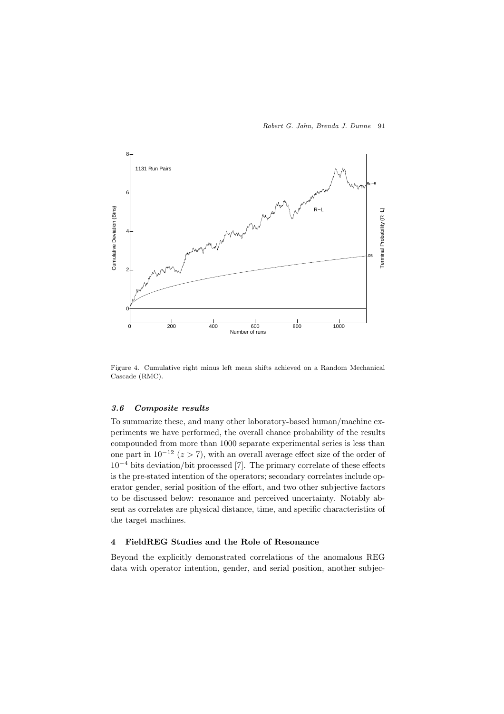Robert G. Jahn, Brenda J. Dunne 91



Figure 4. Cumulative right minus left mean shifts achieved on a Random Mechanical Cascade (RMC).

# 3.6 Composite results

To summarize these, and many other laboratory-based human/machine experiments we have performed, the overall chance probability of the results compounded from more than 1000 separate experimental series is less than one part in  $10^{-12}$  ( $z > 7$ ), with an overall average effect size of the order of 10<sup>−</sup><sup>4</sup> bits deviation/bit processed [7]. The primary correlate of these effects is the pre-stated intention of the operators; secondary correlates include operator gender, serial position of the effort, and two other subjective factors to be discussed below: resonance and perceived uncertainty. Notably absent as correlates are physical distance, time, and specific characteristics of the target machines.

# 4 FieldREG Studies and the Role of Resonance

Beyond the explicitly demonstrated correlations of the anomalous REG data with operator intention, gender, and serial position, another subjec-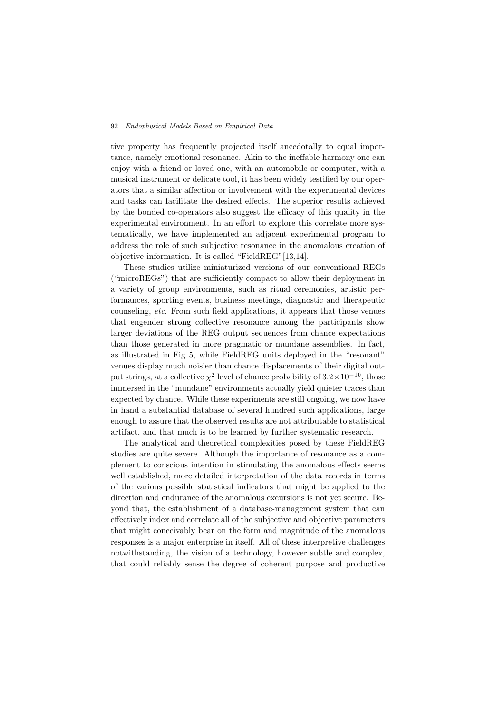tive property has frequently projected itself anecdotally to equal importance, namely emotional resonance. Akin to the ineffable harmony one can enjoy with a friend or loved one, with an automobile or computer, with a musical instrument or delicate tool, it has been widely testified by our operators that a similar affection or involvement with the experimental devices and tasks can facilitate the desired effects. The superior results achieved by the bonded co-operators also suggest the efficacy of this quality in the experimental environment. In an effort to explore this correlate more systematically, we have implemented an adjacent experimental program to address the role of such subjective resonance in the anomalous creation of objective information. It is called "FieldREG"[13,14].

These studies utilize miniaturized versions of our conventional REGs ("microREGs") that are sufficiently compact to allow their deployment in a variety of group environments, such as ritual ceremonies, artistic performances, sporting events, business meetings, diagnostic and therapeutic counseling, etc. From such field applications, it appears that those venues that engender strong collective resonance among the participants show larger deviations of the REG output sequences from chance expectations than those generated in more pragmatic or mundane assemblies. In fact, as illustrated in Fig. 5, while FieldREG units deployed in the "resonant" venues display much noisier than chance displacements of their digital output strings, at a collective  $\chi^2$  level of chance probability of  $3.2 \times 10^{-10}$ , those immersed in the "mundane" environments actually yield quieter traces than expected by chance. While these experiments are still ongoing, we now have in hand a substantial database of several hundred such applications, large enough to assure that the observed results are not attributable to statistical artifact, and that much is to be learned by further systematic research.

The analytical and theoretical complexities posed by these FieldREG studies are quite severe. Although the importance of resonance as a complement to conscious intention in stimulating the anomalous effects seems well established, more detailed interpretation of the data records in terms of the various possible statistical indicators that might be applied to the direction and endurance of the anomalous excursions is not yet secure. Beyond that, the establishment of a database-management system that can effectively index and correlate all of the subjective and objective parameters that might conceivably bear on the form and magnitude of the anomalous responses is a major enterprise in itself. All of these interpretive challenges notwithstanding, the vision of a technology, however subtle and complex, that could reliably sense the degree of coherent purpose and productive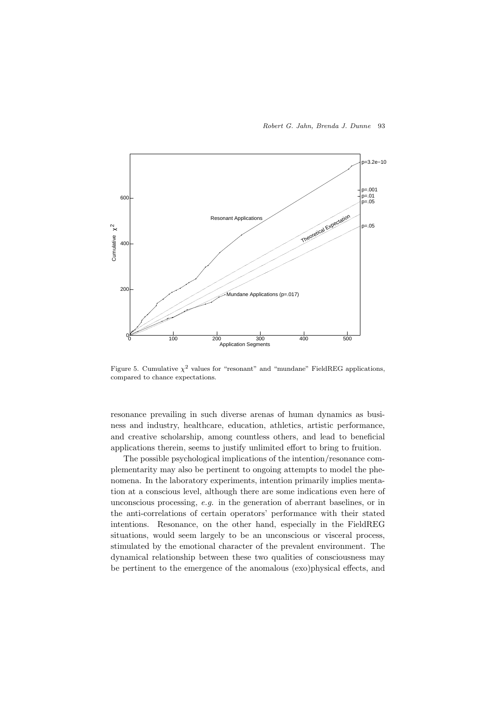Robert G. Jahn, Brenda J. Dunne 93



Figure 5. Cumulative  $\chi^2$  values for "resonant" and "mundane" FieldREG applications, compared to chance expectations.

resonance prevailing in such diverse arenas of human dynamics as business and industry, healthcare, education, athletics, artistic performance, and creative scholarship, among countless others, and lead to beneficial applications therein, seems to justify unlimited effort to bring to fruition.

The possible psychological implications of the intention/resonance complementarity may also be pertinent to ongoing attempts to model the phenomena. In the laboratory experiments, intention primarily implies mentation at a conscious level, although there are some indications even here of unconscious processing, e.g. in the generation of aberrant baselines, or in the anti-correlations of certain operators' performance with their stated intentions. Resonance, on the other hand, especially in the FieldREG situations, would seem largely to be an unconscious or visceral process, stimulated by the emotional character of the prevalent environment. The dynamical relationship between these two qualities of consciousness may be pertinent to the emergence of the anomalous (exo)physical effects, and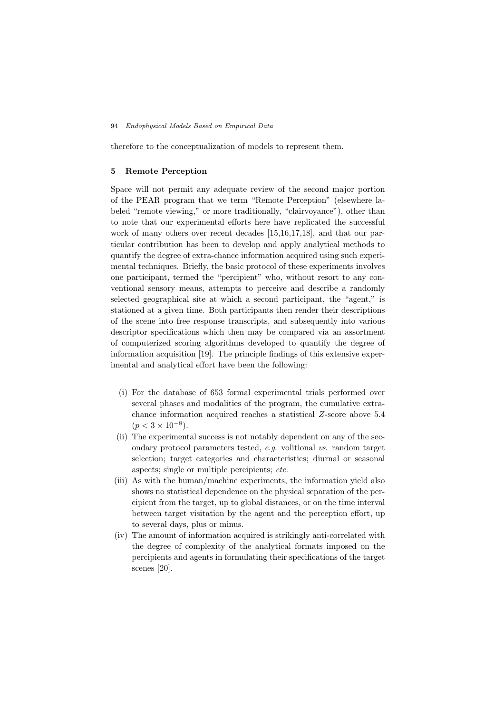therefore to the conceptualization of models to represent them.

# 5 Remote Perception

Space will not permit any adequate review of the second major portion of the PEAR program that we term "Remote Perception" (elsewhere labeled "remote viewing," or more traditionally, "clairvoyance"), other than to note that our experimental efforts here have replicated the successful work of many others over recent decades [15,16,17,18], and that our particular contribution has been to develop and apply analytical methods to quantify the degree of extra-chance information acquired using such experimental techniques. Briefly, the basic protocol of these experiments involves one participant, termed the "percipient" who, without resort to any conventional sensory means, attempts to perceive and describe a randomly selected geographical site at which a second participant, the "agent," is stationed at a given time. Both participants then render their descriptions of the scene into free response transcripts, and subsequently into various descriptor specifications which then may be compared via an assortment of computerized scoring algorithms developed to quantify the degree of information acquisition [19]. The principle findings of this extensive experimental and analytical effort have been the following:

- (i) For the database of 653 formal experimental trials performed over several phases and modalities of the program, the cumulative extrachance information acquired reaches a statistical Z-score above 5.4  $(p < 3 \times 10^{-8}).$
- (ii) The experimental success is not notably dependent on any of the secondary protocol parameters tested, e.g. volitional vs. random target selection; target categories and characteristics; diurnal or seasonal aspects; single or multiple percipients; etc.
- (iii) As with the human/machine experiments, the information yield also shows no statistical dependence on the physical separation of the percipient from the target, up to global distances, or on the time interval between target visitation by the agent and the perception effort, up to several days, plus or minus.
- (iv) The amount of information acquired is strikingly anti-correlated with the degree of complexity of the analytical formats imposed on the percipients and agents in formulating their specifications of the target scenes [20].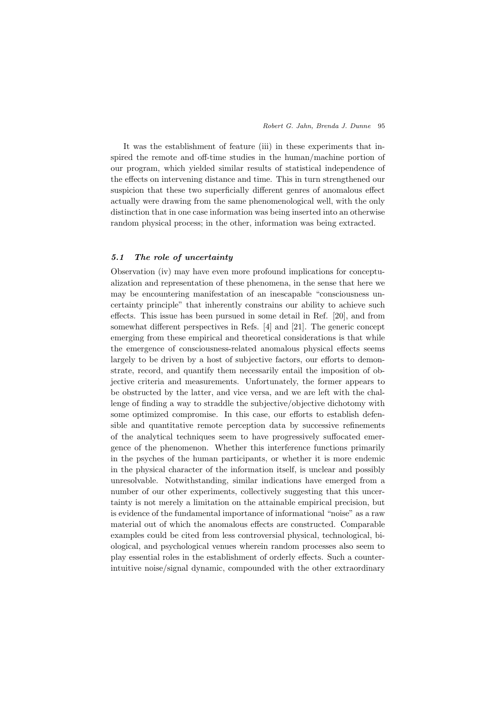It was the establishment of feature (iii) in these experiments that inspired the remote and off-time studies in the human/machine portion of our program, which yielded similar results of statistical independence of the effects on intervening distance and time. This in turn strengthened our suspicion that these two superficially different genres of anomalous effect actually were drawing from the same phenomenological well, with the only distinction that in one case information was being inserted into an otherwise random physical process; in the other, information was being extracted.

# 5.1 The role of uncertainty

Observation (iv) may have even more profound implications for conceptualization and representation of these phenomena, in the sense that here we may be encountering manifestation of an inescapable "consciousness uncertainty principle" that inherently constrains our ability to achieve such effects. This issue has been pursued in some detail in Ref. [20], and from somewhat different perspectives in Refs. [4] and [21]. The generic concept emerging from these empirical and theoretical considerations is that while the emergence of consciousness-related anomalous physical effects seems largely to be driven by a host of subjective factors, our efforts to demonstrate, record, and quantify them necessarily entail the imposition of objective criteria and measurements. Unfortunately, the former appears to be obstructed by the latter, and vice versa, and we are left with the challenge of finding a way to straddle the subjective/objective dichotomy with some optimized compromise. In this case, our efforts to establish defensible and quantitative remote perception data by successive refinements of the analytical techniques seem to have progressively suffocated emergence of the phenomenon. Whether this interference functions primarily in the psyches of the human participants, or whether it is more endemic in the physical character of the information itself, is unclear and possibly unresolvable. Notwithstanding, similar indications have emerged from a number of our other experiments, collectively suggesting that this uncertainty is not merely a limitation on the attainable empirical precision, but is evidence of the fundamental importance of informational "noise" as a raw material out of which the anomalous effects are constructed. Comparable examples could be cited from less controversial physical, technological, biological, and psychological venues wherein random processes also seem to play essential roles in the establishment of orderly effects. Such a counterintuitive noise/signal dynamic, compounded with the other extraordinary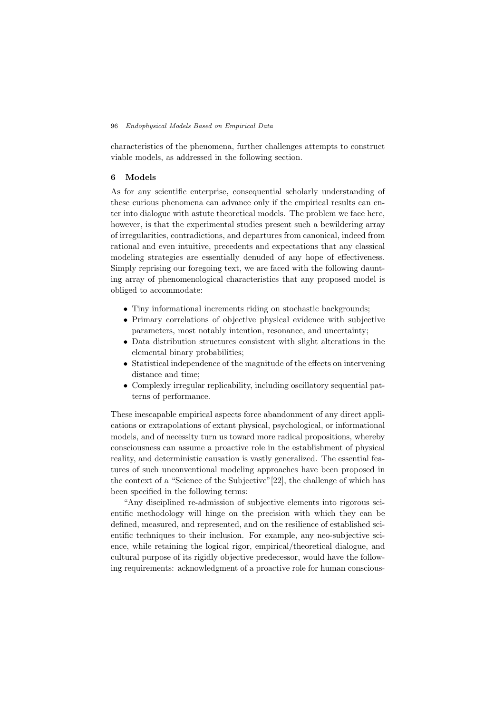characteristics of the phenomena, further challenges attempts to construct viable models, as addressed in the following section.

## 6 Models

As for any scientific enterprise, consequential scholarly understanding of these curious phenomena can advance only if the empirical results can enter into dialogue with astute theoretical models. The problem we face here, however, is that the experimental studies present such a bewildering array of irregularities, contradictions, and departures from canonical, indeed from rational and even intuitive, precedents and expectations that any classical modeling strategies are essentially denuded of any hope of effectiveness. Simply reprising our foregoing text, we are faced with the following daunting array of phenomenological characteristics that any proposed model is obliged to accommodate:

- Tiny informational increments riding on stochastic backgrounds;
- Primary correlations of objective physical evidence with subjective parameters, most notably intention, resonance, and uncertainty;
- Data distribution structures consistent with slight alterations in the elemental binary probabilities;
- Statistical independence of the magnitude of the effects on intervening distance and time;
- Complexly irregular replicability, including oscillatory sequential patterns of performance.

These inescapable empirical aspects force abandonment of any direct applications or extrapolations of extant physical, psychological, or informational models, and of necessity turn us toward more radical propositions, whereby consciousness can assume a proactive role in the establishment of physical reality, and deterministic causation is vastly generalized. The essential features of such unconventional modeling approaches have been proposed in the context of a "Science of the Subjective"[22], the challenge of which has been specified in the following terms:

"Any disciplined re-admission of subjective elements into rigorous scientific methodology will hinge on the precision with which they can be defined, measured, and represented, and on the resilience of established scientific techniques to their inclusion. For example, any neo-subjective science, while retaining the logical rigor, empirical/theoretical dialogue, and cultural purpose of its rigidly objective predecessor, would have the following requirements: acknowledgment of a proactive role for human conscious-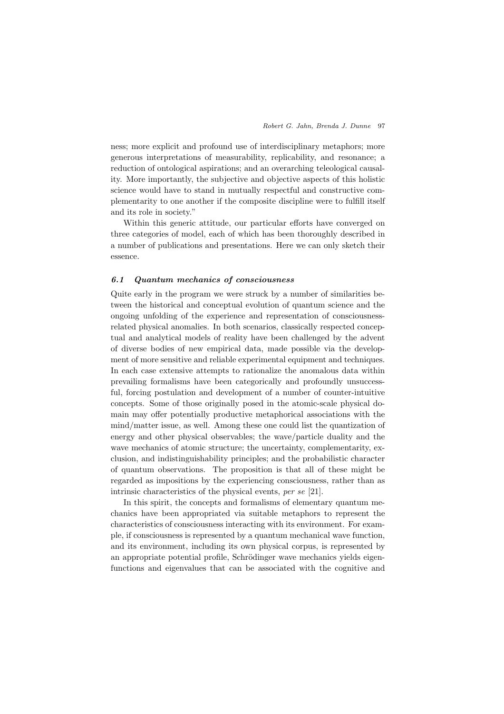ness; more explicit and profound use of interdisciplinary metaphors; more generous interpretations of measurability, replicability, and resonance; a reduction of ontological aspirations; and an overarching teleological causality. More importantly, the subjective and objective aspects of this holistic science would have to stand in mutually respectful and constructive complementarity to one another if the composite discipline were to fulfill itself and its role in society."

Within this generic attitude, our particular efforts have converged on three categories of model, each of which has been thoroughly described in a number of publications and presentations. Here we can only sketch their essence.

## 6.1 Quantum mechanics of consciousness

Quite early in the program we were struck by a number of similarities between the historical and conceptual evolution of quantum science and the ongoing unfolding of the experience and representation of consciousnessrelated physical anomalies. In both scenarios, classically respected conceptual and analytical models of reality have been challenged by the advent of diverse bodies of new empirical data, made possible via the development of more sensitive and reliable experimental equipment and techniques. In each case extensive attempts to rationalize the anomalous data within prevailing formalisms have been categorically and profoundly unsuccessful, forcing postulation and development of a number of counter-intuitive concepts. Some of those originally posed in the atomic-scale physical domain may offer potentially productive metaphorical associations with the mind/matter issue, as well. Among these one could list the quantization of energy and other physical observables; the wave/particle duality and the wave mechanics of atomic structure; the uncertainty, complementarity, exclusion, and indistinguishability principles; and the probabilistic character of quantum observations. The proposition is that all of these might be regarded as impositions by the experiencing consciousness, rather than as intrinsic characteristics of the physical events, per se [21].

In this spirit, the concepts and formalisms of elementary quantum mechanics have been appropriated via suitable metaphors to represent the characteristics of consciousness interacting with its environment. For example, if consciousness is represented by a quantum mechanical wave function, and its environment, including its own physical corpus, is represented by an appropriate potential profile, Schrödinger wave mechanics yields eigenfunctions and eigenvalues that can be associated with the cognitive and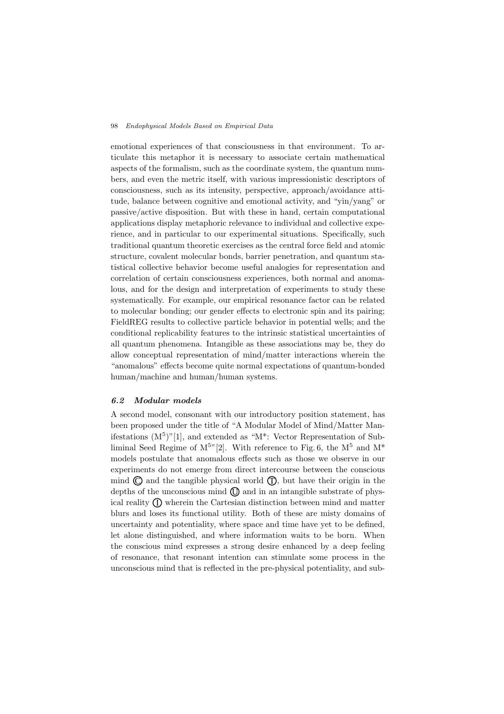emotional experiences of that consciousness in that environment. To articulate this metaphor it is necessary to associate certain mathematical aspects of the formalism, such as the coordinate system, the quantum numbers, and even the metric itself, with various impressionistic descriptors of consciousness, such as its intensity, perspective, approach/avoidance attitude, balance between cognitive and emotional activity, and "yin/yang" or passive/active disposition. But with these in hand, certain computational applications display metaphoric relevance to individual and collective experience, and in particular to our experimental situations. Specifically, such traditional quantum theoretic exercises as the central force field and atomic structure, covalent molecular bonds, barrier penetration, and quantum statistical collective behavior become useful analogies for representation and correlation of certain consciousness experiences, both normal and anomalous, and for the design and interpretation of experiments to study these systematically. For example, our empirical resonance factor can be related to molecular bonding; our gender effects to electronic spin and its pairing; FieldREG results to collective particle behavior in potential wells; and the conditional replicability features to the intrinsic statistical uncertainties of all quantum phenomena. Intangible as these associations may be, they do allow conceptual representation of mind/matter interactions wherein the "anomalous" effects become quite normal expectations of quantum-bonded human/machine and human/human systems.

# 6.2 Modular models

A second model, consonant with our introductory position statement, has been proposed under the title of "A Modular Model of Mind/Matter Manifestations  $(M^5)$ "[1], and extended as "M<sup>\*</sup>: Vector Representation of Subliminal Seed Regime of  $M^{5}$ "[2]. With reference to Fig. 6, the  $M^5$  and  $M^*$ models postulate that anomalous effects such as those we observe in our experiments do not emerge from direct intercourse between the conscious mind  $\overline{C}$  and the tangible physical world  $\overline{T}$ , but have their origin in the depths of the unconscious mind  $\overline{O}$  and in an intangible substrate of physical reality  $\Omega$  wherein the Cartesian distinction between mind and matter blurs and loses its functional utility. Both of these are misty domains of uncertainty and potentiality, where space and time have yet to be defined, let alone distinguished, and where information waits to be born. When the conscious mind expresses a strong desire enhanced by a deep feeling of resonance, that resonant intention can stimulate some process in the unconscious mind that is reflected in the pre-physical potentiality, and sub-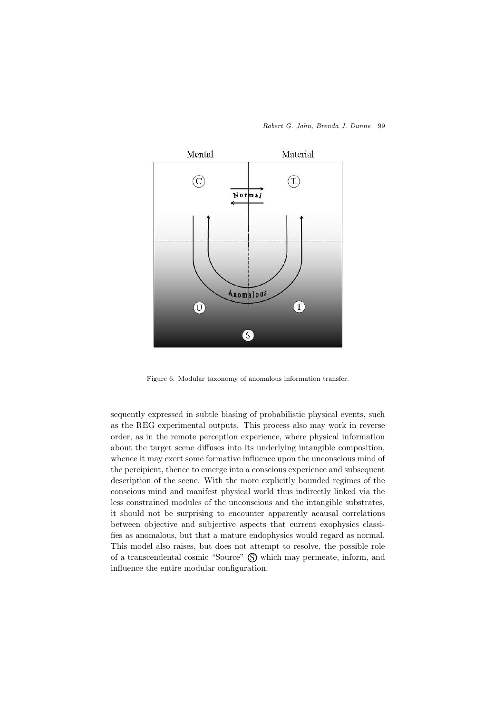Robert G. Jahn, Brenda J. Dunne 99



Figure 6. Modular taxonomy of anomalous information transfer.

sequently expressed in subtle biasing of probabilistic physical events, such as the REG experimental outputs. This process also may work in reverse order, as in the remote perception experience, where physical information about the target scene diffuses into its underlying intangible composition, whence it may exert some formative influence upon the unconscious mind of the percipient, thence to emerge into a conscious experience and subsequent description of the scene. With the more explicitly bounded regimes of the conscious mind and manifest physical world thus indirectly linked via the less constrained modules of the unconscious and the intangible substrates, it should not be surprising to encounter apparently acausal correlations between objective and subjective aspects that current exophysics classifies as anomalous, but that a mature endophysics would regard as normal. This model also raises, but does not attempt to resolve, the possible role of a transcendental cosmic "Source"  $\circledS$  which may permeate, inform, and influence the entire modular configuration.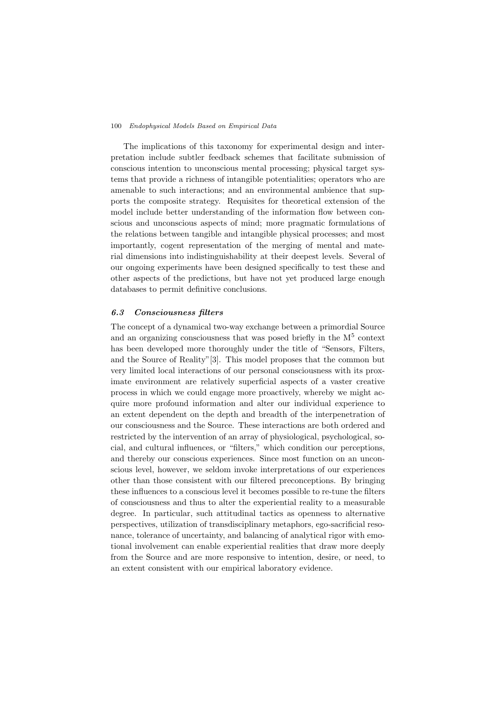The implications of this taxonomy for experimental design and interpretation include subtler feedback schemes that facilitate submission of conscious intention to unconscious mental processing; physical target systems that provide a richness of intangible potentialities; operators who are amenable to such interactions; and an environmental ambience that supports the composite strategy. Requisites for theoretical extension of the model include better understanding of the information flow between conscious and unconscious aspects of mind; more pragmatic formulations of the relations between tangible and intangible physical processes; and most importantly, cogent representation of the merging of mental and material dimensions into indistinguishability at their deepest levels. Several of our ongoing experiments have been designed specifically to test these and other aspects of the predictions, but have not yet produced large enough databases to permit definitive conclusions.

## 6.3 Consciousness filters

The concept of a dynamical two-way exchange between a primordial Source and an organizing consciousness that was posed briefly in the  $M<sup>5</sup>$  context has been developed more thoroughly under the title of "Sensors, Filters, and the Source of Reality"[3]. This model proposes that the common but very limited local interactions of our personal consciousness with its proximate environment are relatively superficial aspects of a vaster creative process in which we could engage more proactively, whereby we might acquire more profound information and alter our individual experience to an extent dependent on the depth and breadth of the interpenetration of our consciousness and the Source. These interactions are both ordered and restricted by the intervention of an array of physiological, psychological, social, and cultural influences, or "filters," which condition our perceptions, and thereby our conscious experiences. Since most function on an unconscious level, however, we seldom invoke interpretations of our experiences other than those consistent with our filtered preconceptions. By bringing these influences to a conscious level it becomes possible to re-tune the filters of consciousness and thus to alter the experiential reality to a measurable degree. In particular, such attitudinal tactics as openness to alternative perspectives, utilization of transdisciplinary metaphors, ego-sacrificial resonance, tolerance of uncertainty, and balancing of analytical rigor with emotional involvement can enable experiential realities that draw more deeply from the Source and are more responsive to intention, desire, or need, to an extent consistent with our empirical laboratory evidence.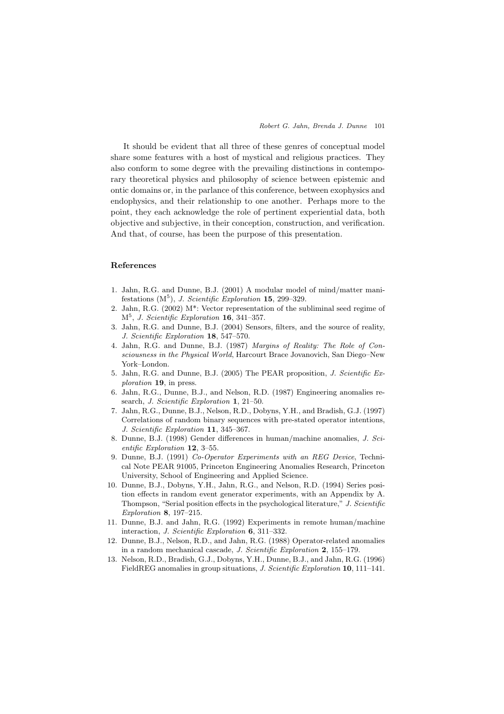It should be evident that all three of these genres of conceptual model share some features with a host of mystical and religious practices. They also conform to some degree with the prevailing distinctions in contemporary theoretical physics and philosophy of science between epistemic and ontic domains or, in the parlance of this conference, between exophysics and endophysics, and their relationship to one another. Perhaps more to the point, they each acknowledge the role of pertinent experiential data, both objective and subjective, in their conception, construction, and verification. And that, of course, has been the purpose of this presentation.

# References

- 1. Jahn, R.G. and Dunne, B.J. (2001) A modular model of mind/matter manifestations  $(M^5)$ , *J. Scientific Exploration* 15, 299–329.
- 2. Jahn, R.G. (2002) M\*: Vector representation of the subliminal seed regime of  $M^5$ , J. Scientific Exploration 16, 341-357.
- 3. Jahn, R.G. and Dunne, B.J. (2004) Sensors, filters, and the source of reality, J. Scientific Exploration 18, 547–570.
- 4. Jahn, R.G. and Dunne, B.J. (1987) Margins of Reality: The Role of Consciousness in the Physical World, Harcourt Brace Jovanovich, San Diego–New York–London.
- 5. Jahn, R.G. and Dunne, B.J. (2005) The PEAR proposition, J. Scientific Exploration 19, in press.
- 6. Jahn, R.G., Dunne, B.J., and Nelson, R.D. (1987) Engineering anomalies research, *J. Scientific Exploration* 1, 21–50.
- 7. Jahn, R.G., Dunne, B.J., Nelson, R.D., Dobyns, Y.H., and Bradish, G.J. (1997) Correlations of random binary sequences with pre-stated operator intentions, J. Scientific Exploration 11, 345–367.
- 8. Dunne, B.J. (1998) Gender differences in human/machine anomalies, J. Scientific Exploration 12, 3–55.
- 9. Dunne, B.J. (1991) Co-Operator Experiments with an REG Device, Technical Note PEAR 91005, Princeton Engineering Anomalies Research, Princeton University, School of Engineering and Applied Science.
- 10. Dunne, B.J., Dobyns, Y.H., Jahn, R.G., and Nelson, R.D. (1994) Series position effects in random event generator experiments, with an Appendix by A. Thompson, "Serial position effects in the psychological literature," J. Scientific Exploration 8, 197–215.
- 11. Dunne, B.J. and Jahn, R.G. (1992) Experiments in remote human/machine interaction, J. Scientific Exploration 6, 311–332.
- 12. Dunne, B.J., Nelson, R.D., and Jahn, R.G. (1988) Operator-related anomalies in a random mechanical cascade, J. Scientific Exploration 2, 155–179.
- 13. Nelson, R.D., Bradish, G.J., Dobyns, Y.H., Dunne, B.J., and Jahn, R.G. (1996) FieldREG anomalies in group situations, *J. Scientific Exploration* 10, 111–141.